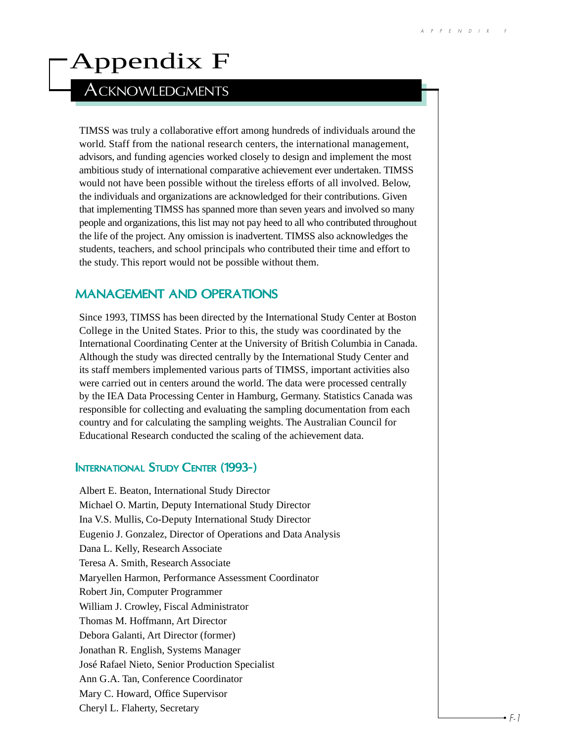# Appendix F

# **ACKNOWLEDGMENTS**

TIMSS was truly a collaborative effort among hundreds of individuals around the world. Staff from the national research centers, the international management, advisors, and funding agencies worked closely to design and implement the most ambitious study of international comparative achievement ever undertaken. TIMSS would not have been possible without the tireless efforts of all involved. Below, the individuals and organizations are acknowledged for their contributions. Given that implementing TIMSS has spanned more than seven years and involved so many people and organizations, this list may not pay heed to all who contributed throughout the life of the project. Any omission is inadvertent. TIMSS also acknowledges the students, teachers, and school principals who contributed their time and effort to the study. This report would not be possible without them.

# **MANAGEMENT AND OPERATIONS**

Since 1993, TIMSS has been directed by the International Study Center at Boston College in the United States. Prior to this, the study was coordinated by the International Coordinating Center at the University of British Columbia in Canada. Although the study was directed centrally by the International Study Center and its staff members implemented various parts of TIMSS, important activities also were carried out in centers around the world. The data were processed centrally by the IEA Data Processing Center in Hamburg, Germany. Statistics Canada was responsible for collecting and evaluating the sampling documentation from each country and for calculating the sampling weights. The Australian Council for Educational Research conducted the scaling of the achievement data.

# INTERNATIONAL STUDY CENTER (1993-)

Albert E. Beaton, International Study Director Michael O. Martin, Deputy International Study Director Ina V.S. Mullis, Co-Deputy International Study Director Eugenio J. Gonzalez, Director of Operations and Data Analysis Dana L. Kelly, Research Associate Teresa A. Smith, Research Associate Maryellen Harmon, Performance Assessment Coordinator Robert Jin, Computer Programmer William J. Crowley, Fiscal Administrator Thomas M. Hoffmann, Art Director Debora Galanti, Art Director (former) Jonathan R. English, Systems Manager José Rafael Nieto, Senior Production Specialist Ann G.A. Tan, Conference Coordinator Mary C. Howard, Office Supervisor Cheryl L. Flaherty, Secretary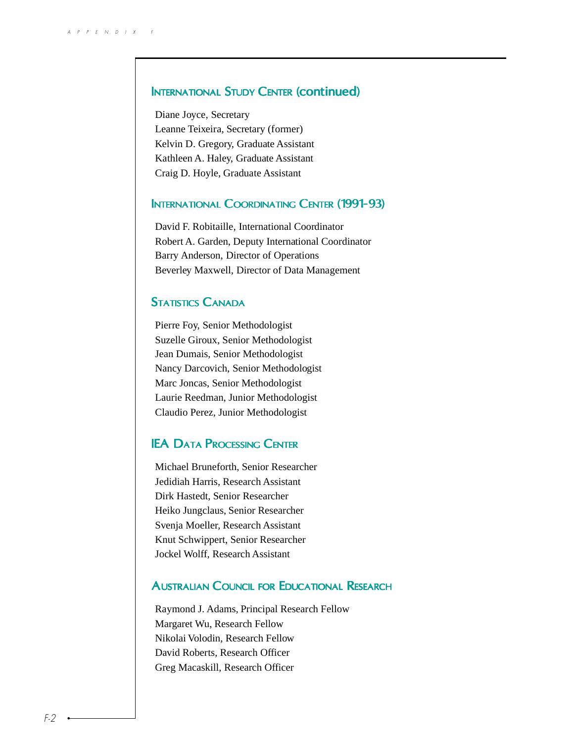### INTERNATIONAL STUDY CENTER (continued)

Diane Joyce, Secretary Leanne Teixeira, Secretary (former) Kelvin D. Gregory, Graduate Assistant Kathleen A. Haley, Graduate Assistant Craig D. Hoyle, Graduate Assistant

### INTERNATIONAL COORDINATING CENTER (1991-93)

David F. Robitaille, International Coordinator Robert A. Garden, Deputy International Coordinator Barry Anderson, Director of Operations Beverley Maxwell, Director of Data Management

### STATISTICS CANADA

Pierre Foy, Senior Methodologist Suzelle Giroux, Senior Methodologist Jean Dumais, Senior Methodologist Nancy Darcovich, Senior Methodologist Marc Joncas, Senior Methodologist Laurie Reedman, Junior Methodologist Claudio Perez, Junior Methodologist

# **IEA DATA PROCESSING CENTER**

Michael Bruneforth, Senior Researcher Jedidiah Harris, Research Assistant Dirk Hastedt, Senior Researcher Heiko Jungclaus, Senior Researcher Svenja Moeller, Research Assistant Knut Schwippert, Senior Researcher Jockel Wolff, Research Assistant

### AUSTRALIAN COUNCIL FOR EDUCATIONAL RESEARCH

Raymond J. Adams, Principal Research Fellow Margaret Wu, Research Fellow Nikolai Volodin, Research Fellow David Roberts, Research Officer Greg Macaskill, Research Officer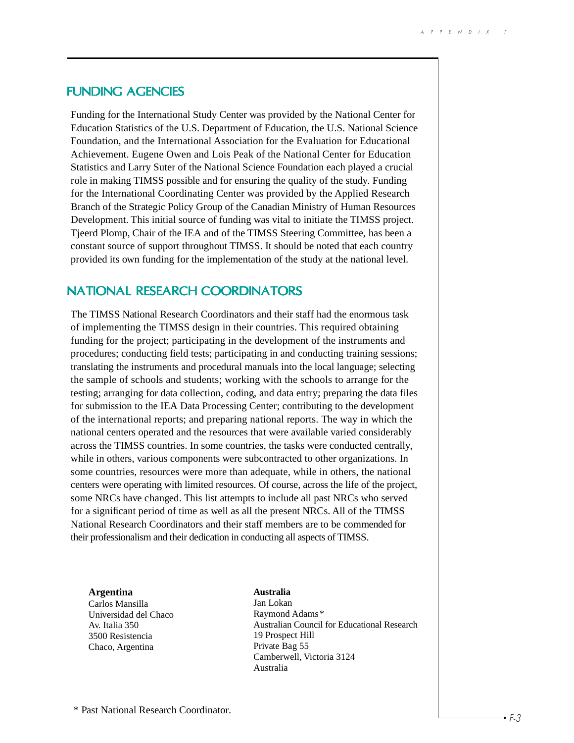### **FUNDING AGENCIES**

Funding for the International Study Center was provided by the National Center for Education Statistics of the U.S. Department of Education, the U.S. National Science Foundation, and the International Association for the Evaluation for Educational Achievement. Eugene Owen and Lois Peak of the National Center for Education Statistics and Larry Suter of the National Science Foundation each played a crucial role in making TIMSS possible and for ensuring the quality of the study. Funding for the International Coordinating Center was provided by the Applied Research Branch of the Strategic Policy Group of the Canadian Ministry of Human Resources Development. This initial source of funding was vital to initiate the TIMSS project. Tjeerd Plomp, Chair of the IEA and of the TIMSS Steering Committee, has been a constant source of support throughout TIMSS. It should be noted that each country provided its own funding for the implementation of the study at the national level.

# NATIONAL RESEARCH COORDINATORS

The TIMSS National Research Coordinators and their staff had the enormous task of implementing the TIMSS design in their countries. This required obtaining funding for the project; participating in the development of the instruments and procedures; conducting field tests; participating in and conducting training sessions; translating the instruments and procedural manuals into the local language; selecting the sample of schools and students; working with the schools to arrange for the testing; arranging for data collection, coding, and data entry; preparing the data files for submission to the IEA Data Processing Center; contributing to the development of the international reports; and preparing national reports. The way in which the national centers operated and the resources that were available varied considerably across the TIMSS countries. In some countries, the tasks were conducted centrally, while in others, various components were subcontracted to other organizations. In some countries, resources were more than adequate, while in others, the national centers were operating with limited resources. Of course, across the life of the project, some NRCs have changed. This list attempts to include all past NRCs who served for a significant period of time as well as all the present NRCs. All of the TIMSS National Research Coordinators and their staff members are to be commended for their professionalism and their dedication in conducting all aspects of TIMSS.

#### **Argentina**

Carlos Mansilla Universidad del Chaco Av. Italia 350 3500 Resistencia Chaco, Argentina

#### **Australia**

Jan Lokan Raymond Adams\* Australian Council for Educational Research 19 Prospect Hill Private Bag 55 Camberwell, Victoria 3124 Australia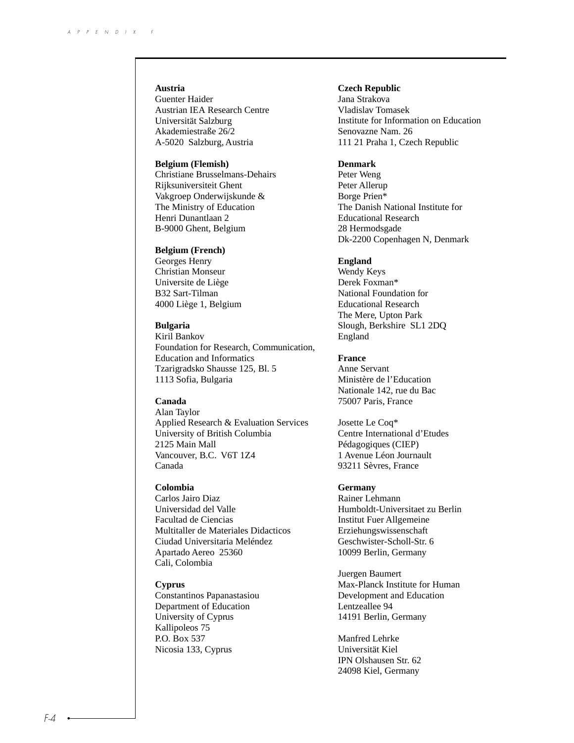#### **Austria**

Guenter Haider Austrian IEA Research Centre Universität Salzburg Akademiestraße 26/2 A-5020 Salzburg, Austria

#### **Belgium (Flemish)**

Christiane Brusselmans-Dehairs Rijksuniversiteit Ghent Vakgroep Onderwijskunde & The Ministry of Education Henri Dunantlaan 2 B-9000 Ghent, Belgium

#### **Belgium (French)**

Georges Henry Christian Monseur Universite de Liège B32 Sart-Tilman 4000 Liège 1, Belgium

#### **Bulgaria**

Kiril Bankov Foundation for Research, Communication, Education and Informatics Tzarigradsko Shausse 125, Bl. 5 1113 Sofia, Bulgaria

### **Canada**

Alan Taylor Applied Research & Evaluation Services University of British Columbia 2125 Main Mall Vancouver, B.C. V6T 1Z4 Canada

#### **Colombia**

Carlos Jairo Diaz Universidad del Valle Facultad de Ciencias Multitaller de Materiales Didacticos Ciudad Universitaria Meléndez Apartado Aereo 25360 Cali, Colombia

#### **Cyprus**

Constantinos Papanastasiou Department of Education University of Cyprus Kallipoleos 75 P.O. Box 537 Nicosia 133, Cyprus

#### **Czech Republic**

Jana Strakova Vladislav Tomasek Institute for Information on Education Senovazne Nam. 26 111 21 Praha 1, Czech Republic

#### **Denmark**

Peter Weng Peter Allerup Borge Prien\* The Danish National Institute for Educational Research 28 Hermodsgade Dk-2200 Copenhagen N, Denmark

#### **England**

Wendy Keys Derek Foxman\* National Foundation for Educational Research The Mere, Upton Park Slough, Berkshire SL1 2DQ England

#### **France**

Anne Servant Ministère de l'Education Nationale 142, rue du Bac 75007 Paris, France

Josette Le Coq\* Centre International d'Etudes Pédagogiques (CIEP) 1 Avenue Léon Journault 93211 Sèvres, France

#### **Germany**

Rainer Lehmann Humboldt-Universitaet zu Berlin Institut Fuer Allgemeine Erziehungswissenschaft Geschwister-Scholl-Str. 6 10099 Berlin, Germany

Juergen Baumert Max-Planck Institute for Human Development and Education Lentzeallee 94 14191 Berlin, Germany

Manfred Lehrke Universität Kiel IPN Olshausen Str. 62 24098 Kiel, Germany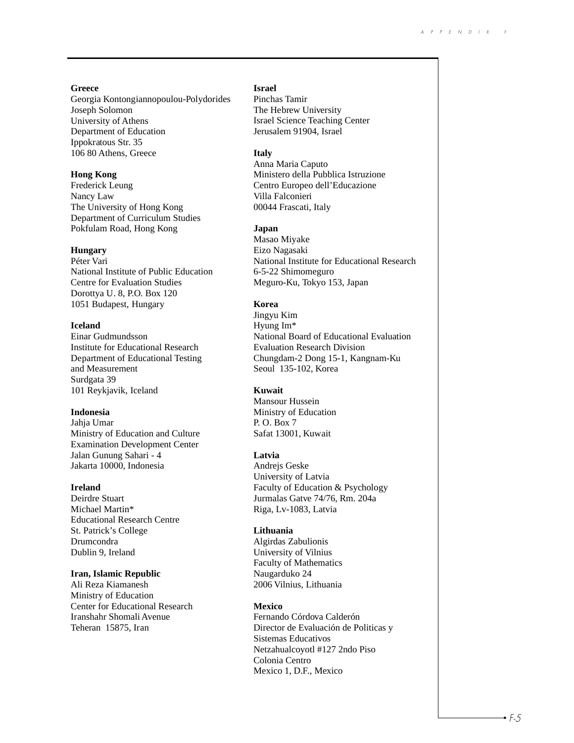#### **Greece**

Georgia Kontongiannopoulou-Polydorides Joseph Solomon University of Athens Department of Education Ippokratous Str. 35 106 80 Athens, Greece

#### **Hong Kong**

Frederick Leung Nancy Law The University of Hong Kong Department of Curriculum Studies Pokfulam Road, Hong Kong

#### **Hungary**

Péter Vari National Institute of Public Education Centre for Evaluation Studies Dorottya U. 8, P.O. Box 120 1051 Budapest, Hungary

**Iceland** Einar Gudmundsson Institute for Educational Research Department of Educational Testing and Measurement Surdgata 39 101 Reykjavik, Iceland

#### **Indonesia**

Jahja Umar Ministry of Education and Culture Examination Development Center Jalan Gunung Sahari - 4 Jakarta 10000, Indonesia

#### **Ireland**

Deirdre Stuart Michael Martin\* Educational Research Centre St. Patrick's College Drumcondra Dublin 9, Ireland

#### **Iran, Islamic Republic**

Ali Reza Kiamanesh Ministry of Education Center for Educational Research Iranshahr Shomali Avenue Teheran 15875, Iran

**Israel**

Pinchas Tamir The Hebrew University Israel Science Teaching Center Jerusalem 91904, Israel

### **Italy**

Anna Maria Caputo Ministero della Pubblica Istruzione Centro Europeo dell'Educazione Villa Falconieri 00044 Frascati, Italy

#### **Japan**

Masao Miyake Eizo Nagasaki National Institute for Educational Research 6-5-22 Shimomeguro Meguro-Ku, Tokyo 153, Japan

#### **Korea**

Jingyu Kim Hyung Im\* National Board of Educational Evaluation Evaluation Research Division Chungdam-2 Dong 15-1, Kangnam-Ku Seoul 135-102, Korea

#### **Kuwait**

Mansour Hussein Ministry of Education P. O. Box 7 Safat 13001, Kuwait

#### **Latvia**

Andrejs Geske University of Latvia Faculty of Education & Psychology Jurmalas Gatve 74/76, Rm. 204a Riga, Lv-1083, Latvia

#### **Lithuania**

Algirdas Zabulionis University of Vilnius Faculty of Mathematics Naugarduko 24 2006 Vilnius, Lithuania

#### **Mexico**

Fernando Córdova Calderón Director de Evaluación de Politicas y Sistemas Educativos Netzahualcoyotl #127 2ndo Piso Colonia Centro Mexico 1, D.F., Mexico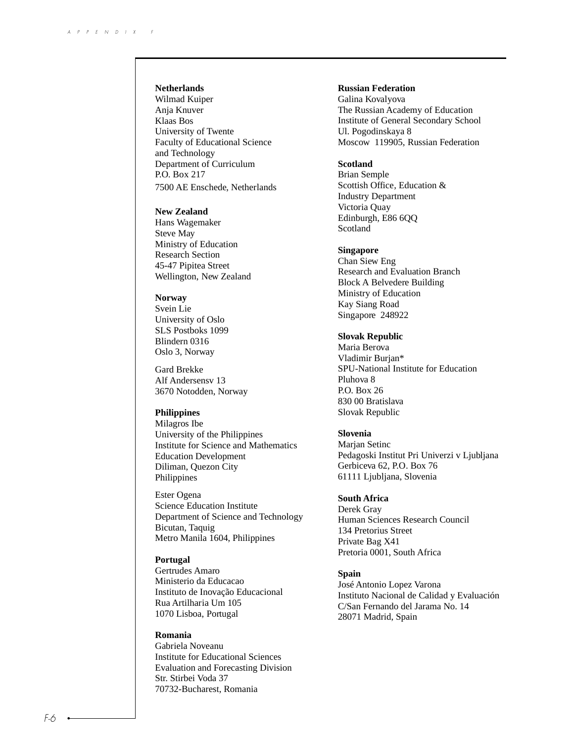### **Netherlands**

Wilmad Kuiper Anja Knuver Klaas Bos University of Twente Faculty of Educational Science and Technology Department of Curriculum P.O. Box 217 7500 AE Enschede, Netherlands

#### **New Zealand**

Hans Wagemaker Steve May Ministry of Education Research Section 45-47 Pipitea Street Wellington, New Zealand

#### **Norway**

Svein Lie University of Oslo SLS Postboks 1099 Blindern 0316 Oslo 3, Norway

Gard Brekke Alf Andersensv 13 3670 Notodden, Norway

#### **Philippines**

Milagros Ibe University of the Philippines Institute for Science and Mathematics Education Development Diliman, Quezon City Philippines

Ester Ogena Science Education Institute Department of Science and Technology Bicutan, Taquig Metro Manila 1604, Philippines

#### **Portugal**

Gertrudes Amaro Ministerio da Educacao Instituto de Inovação Educacional Rua Artilharia Um 105 1070 Lisboa, Portugal

#### **Romania**

Gabriela Noveanu Institute for Educational Sciences Evaluation and Forecasting Division Str. Stirbei Voda 37 70732-Bucharest, Romania

#### **Russian Federation**

Galina Kovalyova The Russian Academy of Education Institute of General Secondary School Ul. Pogodinskaya 8 Moscow 119905, Russian Federation

#### **Scotland**

Brian Semple Scottish Office, Education & Industry Department Victoria Quay Edinburgh, E86 6QQ Scotland

#### **Singapore**

Chan Siew Eng Research and Evaluation Branch Block A Belvedere Building Ministry of Education Kay Siang Road Singapore 248922

#### **Slovak Republic**

Maria Berova Vladimir Burjan\* SPU-National Institute for Education Pluhova 8 P.O. Box 26 830 00 Bratislava Slovak Republic

### **Slovenia**

Marjan Setinc Pedagoski Institut Pri Univerzi v Ljubljana Gerbiceva 62, P.O. Box 76 61111 Ljubljana, Slovenia

#### **South Africa**

Derek Gray Human Sciences Research Council 134 Pretorius Street Private Bag X41 Pretoria 0001, South Africa

#### **Spain**

José Antonio Lopez Varona Instituto Nacional de Calidad y Evaluación C/San Fernando del Jarama No. 14 28071 Madrid, Spain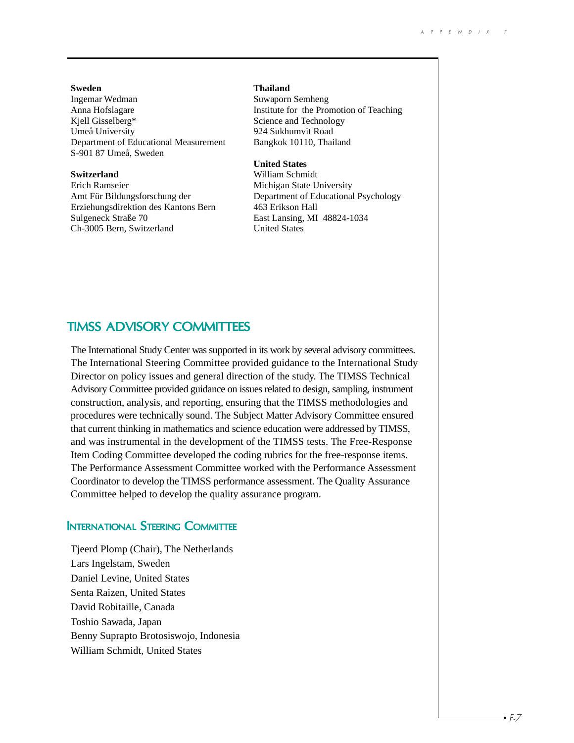**Sweden** Ingemar Wedman Anna Hofslagare Kjell Gisselberg\* Umeå University Department of Educational Measurement S-901 87 Umeå, Sweden

### **Switzerland**

Erich Ramseier Amt Für Bildungsforschung der Erziehungsdirektion des Kantons Bern Sulgeneck Straße 70 Ch-3005 Bern, Switzerland

### **Thailand**

Suwaporn Semheng Institute for the Promotion of Teaching Science and Technology 924 Sukhumvit Road Bangkok 10110, Thailand

#### **United States**

William Schmidt Michigan State University Department of Educational Psychology 463 Erikson Hall East Lansing, MI 48824-1034 United States

# **TIMSS ADVISORY COMMITTEES**

The International Study Center was supported in its work by several advisory committees. The International Steering Committee provided guidance to the International Study Director on policy issues and general direction of the study. The TIMSS Technical Advisory Committee provided guidance on issues related to design, sampling, instrument construction, analysis, and reporting, ensuring that the TIMSS methodologies and procedures were technically sound. The Subject Matter Advisory Committee ensured that current thinking in mathematics and science education were addressed by TIMSS, and was instrumental in the development of the TIMSS tests. The Free-Response Item Coding Committee developed the coding rubrics for the free-response items. The Performance Assessment Committee worked with the Performance Assessment Coordinator to develop the TIMSS performance assessment. The Quality Assurance Committee helped to develop the quality assurance program.

### **INTERNATIONAL STEERING COMMITTEE**

Tjeerd Plomp (Chair), The Netherlands Lars Ingelstam, Sweden Daniel Levine, United States Senta Raizen, United States David Robitaille, Canada Toshio Sawada, Japan Benny Suprapto Brotosiswojo, Indonesia William Schmidt, United States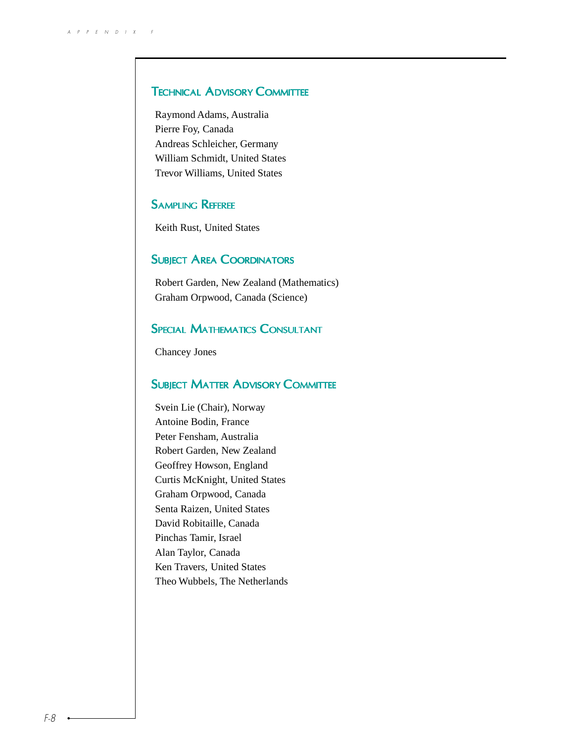### **TECHNICAL ADVISORY COMMITTEE**

Raymond Adams, Australia Pierre Foy, Canada Andreas Schleicher, Germany William Schmidt, United States Trevor Williams, United States

### SAMPLING REFEREE

Keith Rust, United States

# **SUBJECT AREA COORDINATORS**

Robert Garden, New Zealand (Mathematics) Graham Orpwood, Canada (Science)

# SPECIAL MATHEMATICS CONSULTANT

Chancey Jones

# **SUBJECT MATTER ADVISORY COMMITTEE**

Svein Lie (Chair), Norway Antoine Bodin, France Peter Fensham, Australia Robert Garden, New Zealand Geoffrey Howson, England Curtis McKnight, United States Graham Orpwood, Canada Senta Raizen, United States David Robitaille, Canada Pinchas Tamir, Israel Alan Taylor, Canada Ken Travers, United States Theo Wubbels, The Netherlands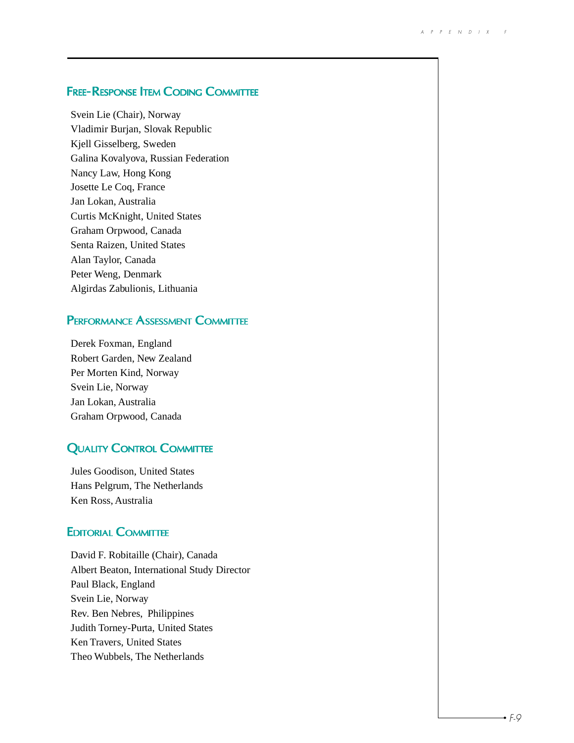### FREE-RESPONSE ITEM CODING COMMITTEE

Svein Lie (Chair), Norway Vladimir Burjan, Slovak Republic Kjell Gisselberg, Sweden Galina Kovalyova, Russian Federation Nancy Law, Hong Kong Josette Le Coq, France Jan Lokan, Australia Curtis McKnight, United States Graham Orpwood, Canada Senta Raizen, United States Alan Taylor, Canada Peter Weng, Denmark Algirdas Zabulionis, Lithuania

### PERFORMANCE ASSESSMENT COMMITTEE

Derek Foxman, England Robert Garden, New Zealand Per Morten Kind, Norway Svein Lie, Norway Jan Lokan, Australia Graham Orpwood, Canada

# **QUALITY CONTROL COMMITTEE**

Jules Goodison, United States Hans Pelgrum, The Netherlands Ken Ross, Australia

# **EDITORIAL COMMITTEE**

David F. Robitaille (Chair), Canada Albert Beaton, International Study Director Paul Black, England Svein Lie, Norway Rev. Ben Nebres, Philippines Judith Torney-Purta, United States Ken Travers, United States Theo Wubbels, The Netherlands